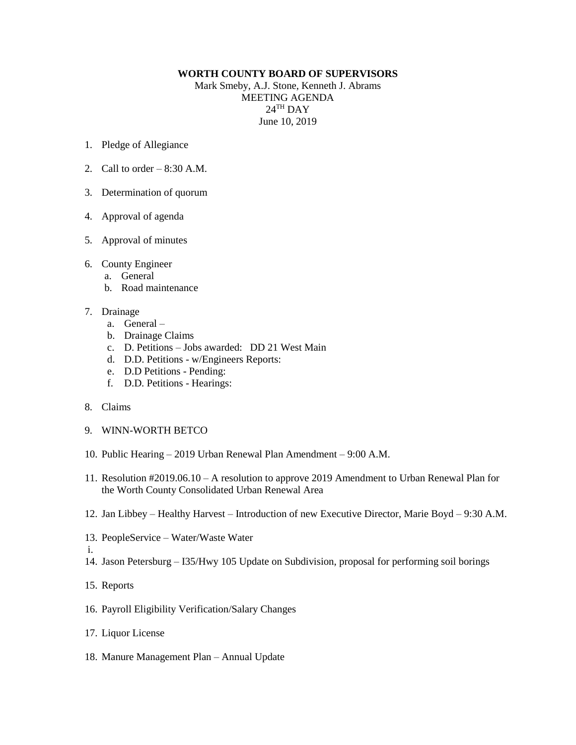## **WORTH COUNTY BOARD OF SUPERVISORS**

Mark Smeby, A.J. Stone, Kenneth J. Abrams MEETING AGENDA  $24^{\text{TH}}$  DAY June 10, 2019

- 1. Pledge of Allegiance
- 2. Call to order  $-8:30$  A.M.
- 3. Determination of quorum
- 4. Approval of agenda
- 5. Approval of minutes
- 6. County Engineer
	- a. General
	- b. Road maintenance

## 7. Drainage

- a. General –
- b. Drainage Claims
- c. D. Petitions Jobs awarded: DD 21 West Main
- d. D.D. Petitions w/Engineers Reports:
- e. D.D Petitions Pending:
- f. D.D. Petitions Hearings:
- 8. Claims
- 9. WINN-WORTH BETCO
- 10. Public Hearing 2019 Urban Renewal Plan Amendment 9:00 A.M.
- 11. Resolution #2019.06.10 A resolution to approve 2019 Amendment to Urban Renewal Plan for the Worth County Consolidated Urban Renewal Area
- 12. Jan Libbey Healthy Harvest Introduction of new Executive Director, Marie Boyd 9:30 A.M.
- 13. PeopleService Water/Waste Water
- i.
- 14. Jason Petersburg I35/Hwy 105 Update on Subdivision, proposal for performing soil borings

## 15. Reports

- 16. Payroll Eligibility Verification/Salary Changes
- 17. Liquor License
- 18. Manure Management Plan Annual Update